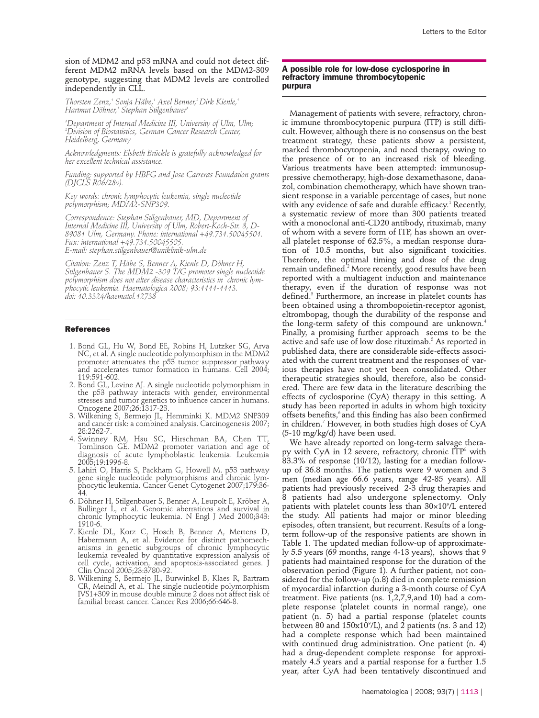sion of MDM2 and p53 mRNA and could not detect different MDM2 mRNA levels based on the MDM2-309 genotype, suggesting that MDM2 levels are controlled independently in CLL.

*Thorsten Zenz,1 Sonja Häbe,1 Axel Benner,2 Dirk Kienle,1 Hartmut Döhner,1 Stephan Stilgenbauer1*

*1 Department of Internal Medicine III, University of Ulm, Ulm; 2 Division of Biostatistics, German Cancer Research Center, Heidelberg, Germany*

*Acknowledgments: Elsbeth Brückle is gratefully acknowledged for her excellent technical assistance.* 

*Funding: supported by HBFG and Jose Carreras Foundation grants (DJCLS R06/28v).*

*Key words: chronic lymphocytic leukemia, single nucleotide polymorphism; MDM2-SNP309.*

*Correspondence: Stephan Stilgenbauer, MD, Department of Internal Medicine III, University of Ulm, Robert-Koch-Str. 8, D-89081 Ulm, Germany. Phone: international +49.731.50045501. Fax: international +49.731.50045505. E-mail: stephan.stilgenbauer@uniklinik-ulm.de*

*Citation: Zenz T, Häbe S, Benner A, Kienle D, Döhner H, Stilgenbauer S. The MDM2 -309 T/G promoter single nucleotide polymorphism does not alter disease characteristics in chronic lymphocytic leukemia. Haematologica 2008; 93:1111-1113. doi: 10.3324/haematol.12738*

#### **References**

- 1. Bond GL, Hu W, Bond EE, Robins H, Lutzker SG, Arva NC, et al. A single nucleotide polymorphism in the MDM2 promoter attenuates the p53 tumor suppressor pathway and accelerates tumor formation in humans. Cell 2004; 119:591-602.
- 2. Bond GL, Levine AJ. A single nucleotide polymorphism in the p53 pathway interacts with gender, environmental stresses and tumor genetics to influence cancer in humans. Oncogene 2007;26:1317-23.
- 3. Wilkening S, Bermejo JL, Hemminki K. MDM2 SNP309 and cancer risk: a combined analysis. Carcinogenesis 2007; 28:2262-7.
- 4. Swinney RM, Hsu SC, Hirschman BA, Chen TT, Tomlinson GE. MDM2 promoter variation and age of diagnosis of acute lymphoblastic leukemia. Leukemia 2005;19:1996-8.
- 5. Lahiri O, Harris S, Packham G, Howell M. p53 pathway gene single nucleotide polymorphisms and chronic lymphocytic leukemia. Cancer Genet Cytogenet 2007;179:36- 44.
- 6. Döhner H, Stilgenbauer S, Benner A, Leupolt E, Kröber A, Bullinger L, et al. Genomic aberrations and survival in chronic lymphocytic leukemia. N Engl J Med 2000;343: 1910-6.
- 7. Kienle DL, Korz C, Hosch B, Benner A, Mertens D, Habermann A, et al. Evidence for distinct pathomechanisms in genetic subgroups of chronic lymphocytic leukemia revealed by quantitative expression analysis of cell cycle, activation, and apoptosis-associated genes. J Clin Oncol 2005;23:3780-92.
- 8. Wilkening S, Bermejo JL, Burwinkel B, Klaes R, Bartram CR, Meindl A, et al. The single nucleotide polymorphism IVS1+309 in mouse double minute 2 does not affect risk of familial breast cancer. Cancer Res 2006;66:646-8.

### **A possible role for low-dose cyclosporine in refractory immune thrombocytopenic purpura**

Management of patients with severe, refractory, chronic immune thrombocytopenic purpura (ITP) is still difficult. However, although there is no consensus on the best treatment strategy, these patients show a persistent, marked thrombocytopenia, and need therapy, owing to the presence of or to an increased risk of bleeding. Various treatments have been attempted: immunosuppressive chemotherapy, high-dose dexamethasone, danazol, combination chemotherapy, which have shown transient response in a variable percentage of cases, but none with any evidence of safe and durable efficacy.<sup>1</sup> Recently, a systematic review of more than 300 patients treated with a monoclonal anti-CD20 antibody, rituximab, many of whom with a severe form of ITP, has shown an overall platelet response of 62.5%, a median response duration of 10.5 months, but also significant toxicities. Therefore, the optimal timing and dose of the drug remain undefined.<sup>2</sup> More recently, good results have been reported with a multiagent induction and maintenance therapy, even if the duration of response was not defined.<sup>3</sup> Furthermore, an increase in platelet counts has been obtained using a thrombopoietin-receptor agonist, eltrombopag, though the durability of the response and the long-term safety of this compound are unknown.<sup>4</sup> Finally, a promising further approach seems to be the active and safe use of low dose rituximab.<sup>5</sup> As reported in published data, there are considerable side-effects associated with the current treatment and the responses of various therapies have not yet been consolidated. Other therapeutic strategies should, therefore, also be considered. There are few data in the literature describing the effects of cyclosporine (CyA) therapy in this setting. A study has been reported in adults in whom high toxicity offsets benefits,<sup>6</sup> and this finding has also been confirmed in children.<sup>7</sup> However, in both studies high doses of CyA (5-10 mg/kg/d) have been used.

We have already reported on long-term salvage therapy with CyA in 12 severe, refractory, chronic  $\overline{ITP}^8$  with 83.3% of response (10/12), lasting for a median followup of 36.8 months. The patients were 9 women and 3 men (median age 66.6 years, range 42-85 years). All patients had previously received 2-3 drug therapies and patients had also undergone splenectomy. Only patients with platelet counts less than 30×109 /L entered the study. All patients had major or minor bleeding episodes, often transient, but recurrent. Results of a longterm follow-up of the responsive patients are shown in Table 1. The updated median follow-up of approximately 5.5 years (69 months, range 4-13 years), shows that 9 patients had maintained response for the duration of the observation period (Figure 1). A further patient, not considered for the follow-up (n.8) died in complete remission of myocardial infarction during a 3-month course of CyA treatment. Five patients (ns. 1,2,7,9,and 10) had a complete response (platelet counts in normal range), one patient (n. 5) had a partial response (platelet counts between 80 and  $150x10^{\circ}/L$ ), and 2 patients (ns. 3 and 12) had a complete response which had been maintained with continued drug administration. One patient (n. 4) had a drug-dependent complete response for approximately 4.5 years and a partial response for a further 1.5 year, after CyA had been tentatively discontinued and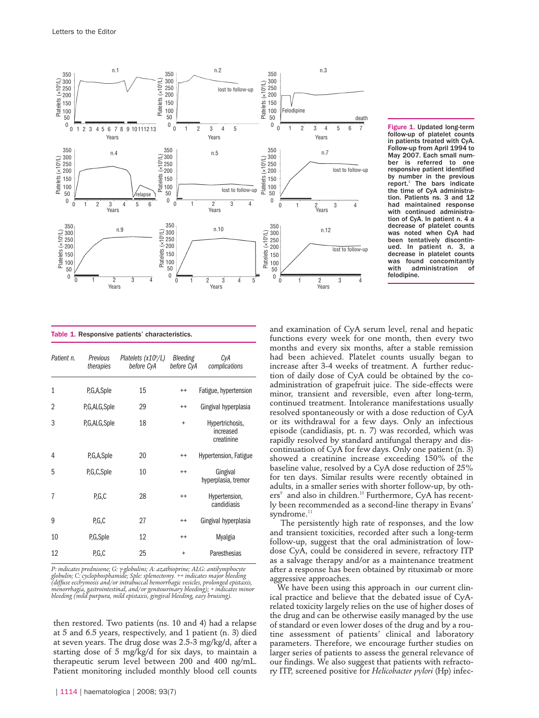

Figure 1. Updated long-term follow-up of platelet counts in patients treated with CyA. Follow-up from April 1994 to May 2007. Each small num-<br>ber is referred to one is referred to one responsive patient identified by number in the previous report.<sup>8</sup> The bars indicate the time of CyA administration. Patients ns. 3 and 12 had maintained response with continued administration of CyA. In patient n. 4 a decrease of platelet counts was noted when CyA had been tentatively discontin-ued. In patient n. 3, a decrease in platelet counts was found concomitantly<br>with administration of administration of felodipine.

The persistently high rate of responses, and the low and transient toxicities, recorded after such a long-term follow-up, suggest that the oral administration of lowdose CyA, could be considered in severe, refractory ITP as a salvage therapy and/or as a maintenance treatment after a response has been obtained by rituximab or more aggressive approaches.

We have been using this approach in our current clinical practice and believe that the debated issue of CyArelated toxicity largely relies on the use of higher doses of the drug and can be otherwise easily managed by the use of standard or even lower doses of the drug and by a routine assessment of patients' clinical and laboratory parameters. Therefore, we encourage further studies on larger series of patients to assess the general relevance of our findings. We also suggest that patients with refractory ITP, screened positive for *Helicobacter pylori* (Hp) infec-

|  |  |  |  | Table 1. Responsive patients' characteristics. |
|--|--|--|--|------------------------------------------------|
|--|--|--|--|------------------------------------------------|

| Patient n.     | Previous<br>therapies | Platelets (x10 <sup>9</sup> /L)<br>before CyA | Bleeding<br>before CyA | CyA<br>complications                       |
|----------------|-----------------------|-----------------------------------------------|------------------------|--------------------------------------------|
| $\mathbf{1}$   | P,G,A,Sple            | 15                                            | $^{++}$                | Fatigue, hypertension                      |
| $\overline{2}$ | P,G,ALG,Sple          | 29                                            | $^{++}$                | Gingival hyperplasia                       |
| 3              | P,G,ALG,Sple          | 18                                            | $\ddot{}$              | Hypertrichosis,<br>increased<br>creatinine |
| 4              | P,G,A,Sple            | 20                                            | $^{++}$                | Hypertension, Fatigue                      |
| 5              | P,G,C,Sple            | 10                                            | $^{++}$                | Gingival<br>hyperplasia, tremor            |
| 7              | P.G.C                 | 28                                            | $^{++}$                | Hypertension,<br>candidiasis               |
| 9              | P.G.C                 | 27                                            | $^{++}$                | Gingival hyperplasia                       |
| 10             | P,G,Sple              | 12                                            | $^{++}$                | Myalgia                                    |
| 12             | P.G.C                 | 25                                            | $\ddot{}$              | Paresthesias                               |

P: indicates prednisone; G: γ-globulins; A: azathioprine; ALG: antilymphocyte<br>globulin; C: cyclophosphamide; Sple: splenectomy. ++ indicates major bleeding<br>(diffuse ecchymosis and/or intrabuccal hemorrhagic vesicles, prolo *menorrhagia, gastrointestinal, and/or genitourinary bleeding); + indicates minor bleeding (mild purpura, mild epistaxis, gingival bleeding, easy bruising).* 

then restored. Two patients (ns. 10 and 4) had a relapse at 5 and 6.5 years, respectively, and 1 patient (n. 3) died at seven years. The drug dose was 2.5-3 mg/kg/d, after a starting dose of 5 mg/kg/d for six days, to maintain a therapeutic serum level between 200 and 400 ng/mL. Patient monitoring included monthly blood cell counts